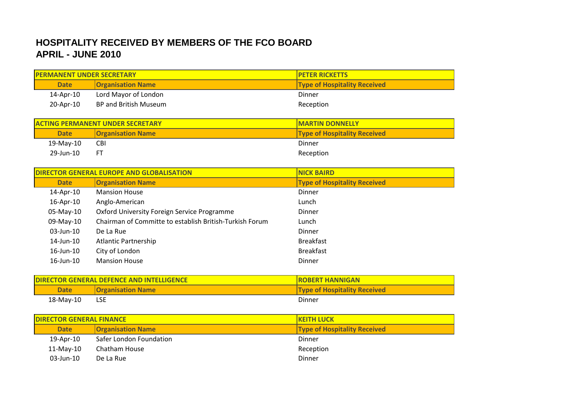## **HOSPITALITY RECEIVED BY MEMBERS OF THE FCO BOARD APRIL - JUNE 2010**

| <b>PERMANENT UNDER SECRETARY</b>        |                          | <b>PETER RICKETTS</b>               |
|-----------------------------------------|--------------------------|-------------------------------------|
| <b>Date</b>                             | <b>Organisation Name</b> | <b>Type of Hospitality Received</b> |
| 14-Apr-10                               | Lord Mayor of London     | Dinner                              |
| 20-Apr-10                               | BP and British Museum    | Reception                           |
|                                         |                          |                                     |
| <b>ACTING PERMANENT UNDER SECRETARY</b> |                          | <b>MARTIN DONNELLY</b>              |
| <b>Date</b>                             | <b>Organisation Name</b> | <b>Type of Hospitality Received</b> |
| 19-May-10                               | <b>CBI</b>               | Dinner                              |

29-Jun-10 FT Reception

| <b>DIRECTOR GENERAL EUROPE AND GLOBALISATION</b> |                                                         | <b>NICK BAIRD</b>                   |
|--------------------------------------------------|---------------------------------------------------------|-------------------------------------|
| <b>Date</b>                                      | <b>Organisation Name</b>                                | <b>Type of Hospitality Received</b> |
| 14-Apr-10                                        | <b>Mansion House</b>                                    | <b>Dinner</b>                       |
| 16-Apr-10                                        | Anglo-American                                          | Lunch                               |
| 05-May-10                                        | Oxford University Foreign Service Programme             | Dinner                              |
| 09-May-10                                        | Chairman of Committe to establish British-Turkish Forum | Lunch                               |
| $03$ -Jun-10                                     | De La Rue                                               | <b>Dinner</b>                       |
| 14-Jun-10                                        | <b>Atlantic Partnership</b>                             | <b>Breakfast</b>                    |
| $16$ -Jun- $10$                                  | City of London                                          | <b>Breakfast</b>                    |
| $16$ -Jun- $10$                                  | <b>Mansion House</b>                                    | Dinner                              |

| <b>IDIRECTOR GENERAL DEFENCE AND INTELLIGENCE</b> |                          | <b>IROBERT HANNIGAN</b>             |
|---------------------------------------------------|--------------------------|-------------------------------------|
| <b>Date</b>                                       | <b>Organisation Name</b> | <b>Type of Hospitality Received</b> |
| 18-May-10                                         | <b>LSE</b>               | Dinner                              |

| <b>DIRECTOR GENERAL FINANCE</b> |              |                          | <b>IKEITH LUCK</b>                  |
|---------------------------------|--------------|--------------------------|-------------------------------------|
|                                 | <b>Date</b>  | <b>Organisation Name</b> | <b>Type of Hospitality Received</b> |
|                                 | 19-Apr-10    | Safer London Foundation  | Dinner                              |
|                                 | 11-May-10    | Chatham House            | Reception                           |
|                                 | $03$ -Jun-10 | De La Rue                | Dinner                              |